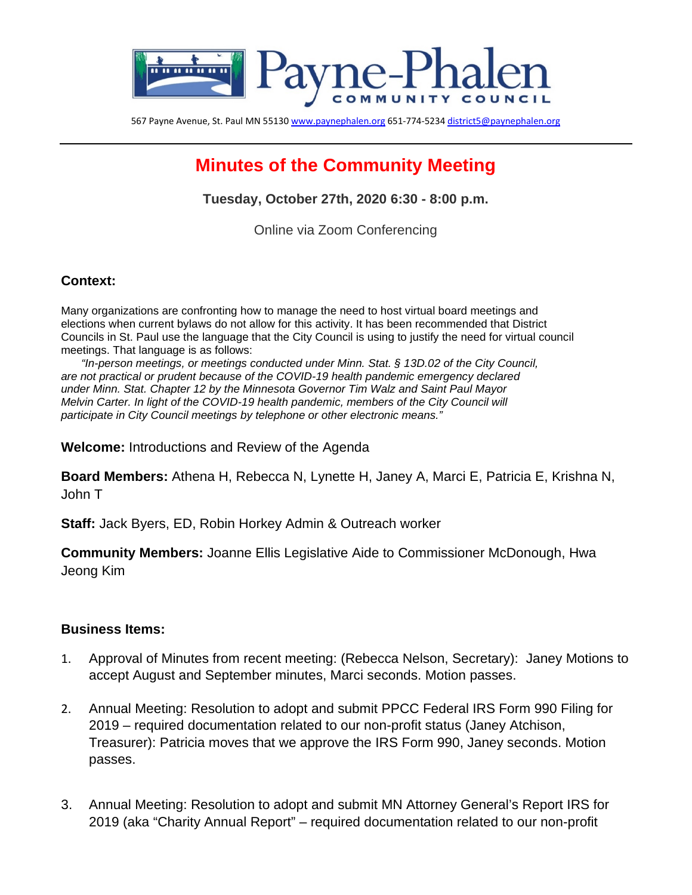

567 Payne Avenue, St. Paul MN 5513[0 www.paynephalen.org](http://www.paynephalen.org/) 651-774-523[4 district5@paynephalen.org](mailto:district5@paynephalen.org)

# **Minutes of the Community Meeting**

**Tuesday, October 27th, 2020 6:30 - 8:00 p.m.**

Online via Zoom Conferencing

### **Context:**

Many organizations are confronting how to manage the need to host virtual board meetings and elections when current bylaws do not allow for this activity. It has been recommended that District Councils in St. Paul use the language that the City Council is using to justify the need for virtual council meetings. That language is as follows:

*"In-person meetings, or meetings conducted under Minn. Stat. § 13D.02 of the City Council, are not practical or prudent because of the COVID-19 health pandemic emergency declared under Minn. Stat. Chapter 12 by the Minnesota Governor Tim Walz and Saint Paul Mayor Melvin Carter. In light of the COVID-19 health pandemic, members of the City Council will participate in City Council meetings by telephone or other electronic means."* 

**Welcome:** Introductions and Review of the Agenda

**Board Members:** Athena H, Rebecca N, Lynette H, Janey A, Marci E, Patricia E, Krishna N, John T

**Staff:** Jack Byers, ED, Robin Horkey Admin & Outreach worker

**Community Members:** Joanne Ellis Legislative Aide to Commissioner McDonough, Hwa Jeong Kim

### **Business Items:**

- 1. Approval of Minutes from recent meeting: (Rebecca Nelson, Secretary): Janey Motions to accept August and September minutes, Marci seconds. Motion passes.
- 2. Annual Meeting: Resolution to adopt and submit PPCC Federal IRS Form 990 Filing for 2019 – required documentation related to our non-profit status (Janey Atchison, Treasurer): Patricia moves that we approve the IRS Form 990, Janey seconds. Motion passes.
- 3. Annual Meeting: Resolution to adopt and submit MN Attorney General's Report IRS for 2019 (aka "Charity Annual Report" – required documentation related to our non-profit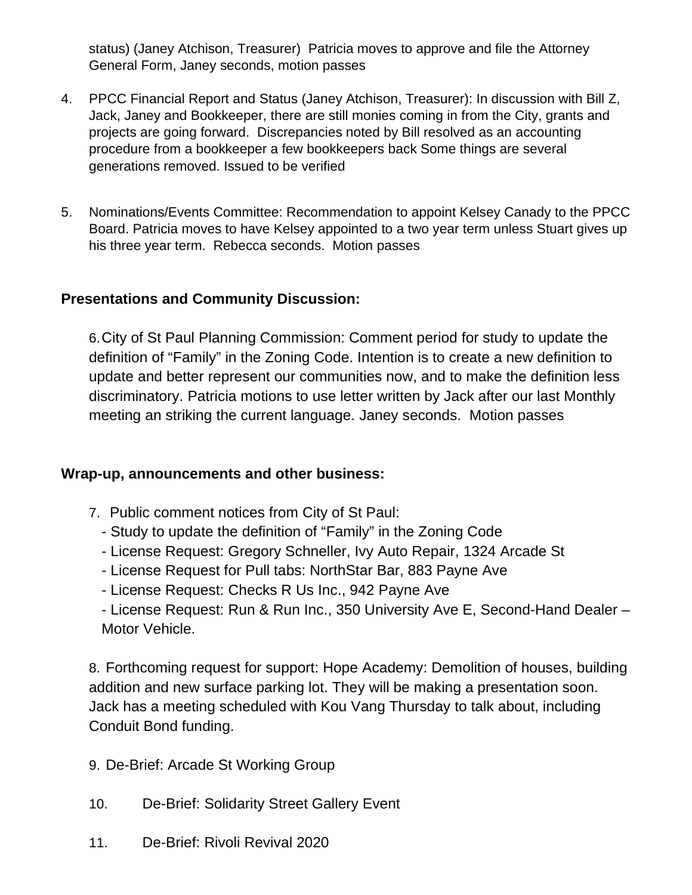status) (Janey Atchison, Treasurer) Patricia moves to approve and file the Attorney General Form, Janey seconds, motion passes

- 4. PPCC Financial Report and Status (Janey Atchison, Treasurer): In discussion with Bill Z, Jack, Janey and Bookkeeper, there are still monies coming in from the City, grants and projects are going forward. Discrepancies noted by Bill resolved as an accounting procedure from a bookkeeper a few bookkeepers back Some things are several generations removed. Issued to be verified
- 5. Nominations/Events Committee: Recommendation to appoint Kelsey Canady to the PPCC Board. Patricia moves to have Kelsey appointed to a two year term unless Stuart gives up his three year term. Rebecca seconds. Motion passes

# **Presentations and Community Discussion:**

6.City of St Paul Planning Commission: Comment period for study to update the definition of "Family" in the Zoning Code. Intention is to create a new definition to update and better represent our communities now, and to make the definition less discriminatory. Patricia motions to use letter written by Jack after our last Monthly meeting an striking the current language. Janey seconds. Motion passes

# **Wrap-up, announcements and other business:**

- 7. Public comment notices from City of St Paul:
	- Study to update the definition of "Family" in the Zoning Code
	- License Request: Gregory Schneller, Ivy Auto Repair, 1324 Arcade St
	- License Request for Pull tabs: NorthStar Bar, 883 Payne Ave
	- License Request: Checks R Us Inc., 942 Payne Ave

- License Request: Run & Run Inc., 350 University Ave E, Second-Hand Dealer – Motor Vehicle.

8. Forthcoming request for support: Hope Academy: Demolition of houses, building addition and new surface parking lot. They will be making a presentation soon. Jack has a meeting scheduled with Kou Vang Thursday to talk about, including Conduit Bond funding.

- 9. De-Brief: Arcade St Working Group
- 10. De-Brief: Solidarity Street Gallery Event
- 11. De-Brief: Rivoli Revival 2020